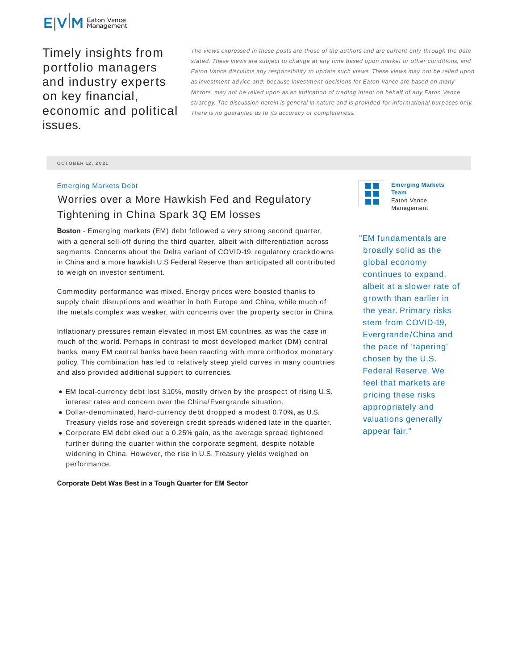

Timely insights from portfolio managers and industry experts on key financial, economic and political issues.

The views expressed in these posts are those of the authors and are current only through the date stated. These views are subject to change at any time based upon market or other conditions, and Eaton Vance disclaims any responsibility to update such views. These views may not be relied upon as investment advice and, because investment decisions for Eaton Vance are based on many factors, may not be relied upon as an indication of trading intent on behalf of any Eaton Vance strategy. The discussion herein is general in nature and is provided for informational purposes only. There is no guarantee as to its accuracy or completeness.

**O CTO BER 12 , 2 0 21**

## Emerging Markets Debt

## Worries over a More Hawkish Fed and Regulatory Tightening in China Spark 3Q EM losses

**Boston** - Emerging markets (EM) debt followed a very strong second quarter, with a general sell-off during the third quarter, albeit with differentiation across segments. Concerns about the Delta variant of COVID-19, regulatory crackdowns in China and a more hawkish U.S Federal Reserve than anticipated all contributed to weigh on investor sentiment.

Commodity performance was mixed. Energy prices were boosted thanks to supply chain disruptions and weather in both Europe and China, while much of the metals complex was weaker, with concerns over the property sector in China.

Inflationary pressures remain elevated in most EM countries, as was the case in much of the world. Perhaps in contrast to most developed market (DM) central banks, many EM central banks have been reacting with more orthodox monetary policy. This combination has led to relatively steep yield curves in many countries and also provided additional support to currencies.

- EM local-currency debt lost 3.10%, mostly driven by the prospect of rising U.S. interest rates and concern over the China/Evergrande situation.
- Dollar-denominated, hard-currency debt dropped a modest 0.70%, as U.S. Treasury yields rose and sovereign credit spreads widened late in the quarter.
- Corporate EM debt eked out a 0.25% gain, as the average spread tightened further during the quarter within the corporate segment, despite notable widening in China. However, the rise in U.S. Treasury yields weighed on performance.

**Corporate Debt Was Best in a Tough Quarter for EM Sector**



**Emerging Markets Team** Eaton Vance Management

"EM fundamentals are broadly solid as the global economy continues to expand, albeit at a slower rate of growth than earlier in the year. Primary risks stem from COVID-19, Evergrande/China and the pace of 'tapering' chosen by the U.S. Federal Reserve. We feel that markets are pricing these risks appropriately and valuations generally appear fair."